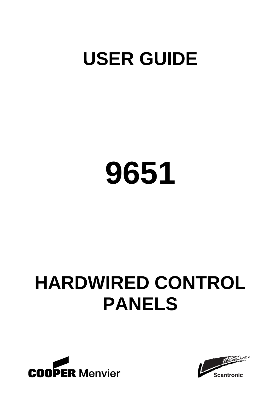# **USER GUIDE**

# **9651**

# **HARDWIRED CONTROL PANELS**



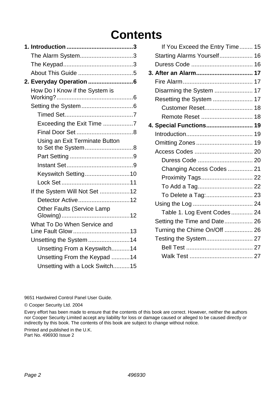# **Contents**

| The Alarm System3                                    |  |
|------------------------------------------------------|--|
|                                                      |  |
|                                                      |  |
| 2. Everyday Operation 6                              |  |
| How Do I Know if the System is                       |  |
|                                                      |  |
|                                                      |  |
| Exceeding the Exit Time 7                            |  |
|                                                      |  |
| Using an Exit Terminate Button<br>to Set the System8 |  |
|                                                      |  |
|                                                      |  |
| Keyswitch Setting10                                  |  |
|                                                      |  |
| If the System Will Not Set 12                        |  |
| Detector Active12                                    |  |
| Other Faults (Service Lamp                           |  |
| What To Do When Service and                          |  |
| Unsetting the System 14                              |  |
| Unsetting From a Keyswitch14                         |  |
| Unsetting From the Keypad 14                         |  |
| Unsetting with a Lock Switch15                       |  |
|                                                      |  |

| If You Exceed the Entry Time 15 |  |
|---------------------------------|--|
| Starting Alarms Yourself 16     |  |
|                                 |  |
| 3. After an Alarm 17            |  |
|                                 |  |
| Disarming the System  17        |  |
| Resetting the System  17        |  |
|                                 |  |
|                                 |  |
| 4. Special Functions 19         |  |
|                                 |  |
|                                 |  |
|                                 |  |
| Duress Code  20                 |  |
| Changing Access Codes  21       |  |
| Proximity Tags 22               |  |
|                                 |  |
| To Delete a Tag: 23             |  |
|                                 |  |
| Table 1. Log Event Codes 24     |  |
| Setting the Time and Date 26    |  |
| Turning the Chime On/Off  26    |  |
| Testing the System 27           |  |
|                                 |  |
|                                 |  |

9651 Hardwired Control Panel User Guide.

© Cooper Security Ltd. 2004

Every effort has been made to ensure that the contents of this book are correct. However, neither the authors nor Cooper Security Limited accept any liability for loss or damage caused or alleged to be caused directly or indirectly by this book. The contents of this book are subject to change without notice.

Printed and published in the U.K. Part No. 496930 Issue 2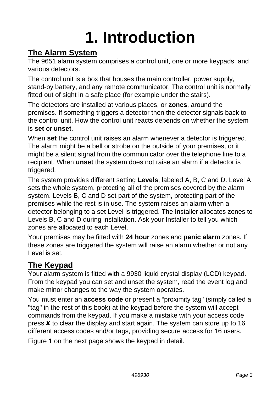# **1. Introduction**

# **The Alarm System**

The 9651 alarm system comprises a control unit, one or more keypads, and various detectors.

The control unit is a box that houses the main controller, power supply, stand-by battery, and any remote communicator. The control unit is normally fitted out of sight in a safe place (for example under the stairs).

The detectors are installed at various places, or **zones**, around the premises. If something triggers a detector then the detector signals back to the control unit. How the control unit reacts depends on whether the system is **set** or **unset**.

When **set** the control unit raises an alarm whenever a detector is triggered. The alarm might be a bell or strobe on the outside of your premises, or it might be a silent signal from the communicator over the telephone line to a recipient. When **unset** the system does not raise an alarm if a detector is triggered.

The system provides different setting **Levels**, labeled A, B, C and D. Level A sets the whole system, protecting all of the premises covered by the alarm system. Levels B, C and D set part of the system, protecting part of the premises while the rest is in use. The system raises an alarm when a detector belonging to a set Level is triggered. The Installer allocates zones to Levels B, C and D during installation. Ask your Installer to tell you which zones are allocated to each Level.

Your premises may be fitted with **24 hour** zones and **panic alarm** zones. If these zones are triggered the system will raise an alarm whether or not any Level is set.

# **The Keypad**

Your alarm system is fitted with a 9930 liquid crystal display (LCD) keypad. From the keypad you can set and unset the system, read the event log and make minor changes to the way the system operates.

You must enter an **access code** or present a "proximity tag" (simply called a "tag" in the rest of this book) at the keypad before the system will accept commands from the keypad. If you make a mistake with your access code press X to clear the display and start again. The system can store up to 16 different access codes and/or tags, providing secure access for 16 users.

Figure 1 on the next page shows the keypad in detail.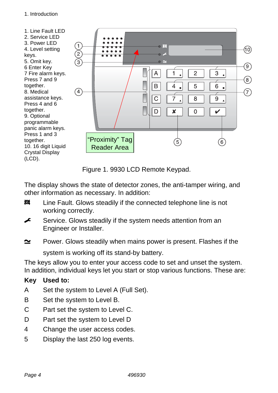

Figure 1. 9930 LCD Remote Keypad.

The display shows the state of detector zones, the anti-tamper wiring, and other information as necessary. In addition:

- **XX** Line Fault. Glows steadily if the connected telephone line is not working correctly.
- $\leftarrow$  Service. Glows steadily if the system needs attention from an Engineer or Installer.
- $\approx$  Power. Glows steadily when mains power is present. Flashes if the system is working off its stand-by battery.

The keys allow you to enter your access code to set and unset the system. In addition, individual keys let you start or stop various functions. These are:

#### **Key Used to:**

- A Set the system to Level A (Full Set).
- B Set the system to Level B.
- C Part set the system to Level C.
- D Part set the system to Level D
- 4 Change the user access codes.
- 5 Display the last 250 log events.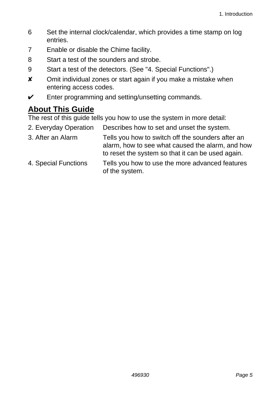- 6 Set the internal clock/calendar, which provides a time stamp on log entries.
- 7 Enable or disable the Chime facility.
- 8 Start a test of the sounders and strobe.
- 9 Start a test of the detectors. (See "4. Special Functions".)
- **x** Omit individual zones or start again if you make a mistake when entering access codes.
- $\checkmark$  Enter programming and setting/unsetting commands.

# **About This Guide**

The rest of this guide tells you how to use the system in more detail:

- 2. Everyday Operation Describes how to set and unset the system.
- 3. After an Alarm Tells you how to switch off the sounders after an alarm, how to see what caused the alarm, and how to reset the system so that it can be used again.
- 4. Special Functions Tells you how to use the more advanced features of the system.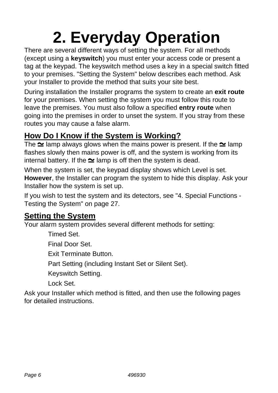# **2. Everyday Operation**

There are several different ways of setting the system. For all methods (except using a **keyswitch**) you must enter your access code or present a tag at the keypad. The keyswitch method uses a key in a special switch fitted to your premises. "Setting the System" below describes each method. Ask your Installer to provide the method that suits your site best.

During installation the Installer programs the system to create an **exit route** for your premises. When setting the system you must follow this route to leave the premises. You must also follow a specified **entry route** when going into the premises in order to unset the system. If you stray from these routes you may cause a false alarm.

# **How Do I Know if the System is Working?**

The  $\simeq$  lamp always glows when the mains power is present. If the  $\simeq$  lamp flashes slowly then mains power is off, and the system is working from its internal battery. If the  $\simeq$  lamp is off then the system is dead.

When the system is set, the keypad display shows which Level is set. **However**, the Installer can program the system to hide this display. Ask your Installer how the system is set up.

If you wish to test the system and its detectors, see "4. Special Functions - Testing the System" on page 27.

# **Setting the System**

Your alarm system provides several different methods for setting:

Timed Set.

Final Door Set.

Exit Terminate Button.

Part Setting (including Instant Set or Silent Set).

Keyswitch Setting.

Lock Set.

Ask your Installer which method is fitted, and then use the following pages for detailed instructions.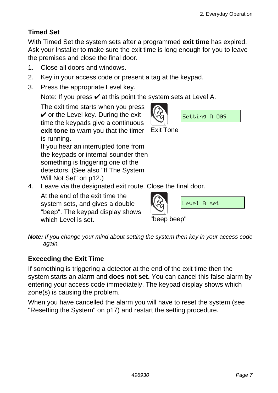### **Timed Set**

With Timed Set the system sets after a programmed **exit time** has expired. Ask your Installer to make sure the exit time is long enough for you to leave the premises and close the final door.

Exit Tone

- 1. Close all doors and windows.
- 2. Key in your access code or present a tag at the keypad.
- 3. Press the appropriate Level key.

Note: If you press  $\vee$  at this point the system sets at Level A.

 The exit time starts when you press  $\checkmark$  or the Level key. During the exit time the keypads give a continuous **exit tone** to warn you that the timer is running.

 If you hear an interrupted tone from the keypads or internal sounder then something is triggering one of the detectors. (See also "If The System Will Not Set" on p12.)

4. Leave via the designated exit route. Close the final door.

 At the end of the exit time the system sets, and gives a double "beep". The keypad display shows which Level is set. The property been been which  $\sim$  "been been"

Level A set

Setting A 009

*Note: If you change your mind about setting the system then key in your access code again.* 

### **Exceeding the Exit Time**

If something is triggering a detector at the end of the exit time then the system starts an alarm and **does not set.** You can cancel this false alarm by entering your access code immediately. The keypad display shows which zone(s) is causing the problem.

When you have cancelled the alarm you will have to reset the system (see "Resetting the System" on p17) and restart the setting procedure.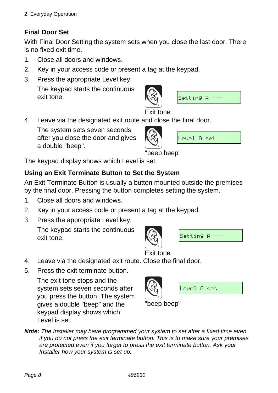### **Final Door Set**

With Final Door Setting the system sets when you close the last door. There is no fixed exit time.

- 1. Close all doors and windows.
- 2. Key in your access code or present a tag at the keypad.
- 3. Press the appropriate Level key. The keypad starts the continuous exit tone.



```
Setting A -
```
Exit tone

4. Leave via the designated exit route and close the final door.

 The system sets seven seconds after you close the door and gives a double "beep".



"beep beep"

The keypad display shows which Level is set.

### **Using an Exit Terminate Button to Set the System**

An Exit Terminate Button is usually a button mounted outside the premises by the final door. Pressing the button completes setting the system.

- 1. Close all doors and windows.
- 2. Key in your access code or present a tag at the keypad.
- 3. Press the appropriate Level key.

 The keypad starts the continuous exit tone.





Exit tone

- 4. Leave via the designated exit route. Close the final door.
- 5. Press the exit terminate button.

 The exit tone stops and the system sets seven seconds after you press the button. The system gives a double "beep" and the keypad display shows which Level is set.



"beep beep"

*Note: The Installer may have programmed your system to set after a fixed time even if you do not press the exit terminate button. This is to make sure your premises are protected even if you forget to press the exit terminate button. Ask your Installer how your system is set up.*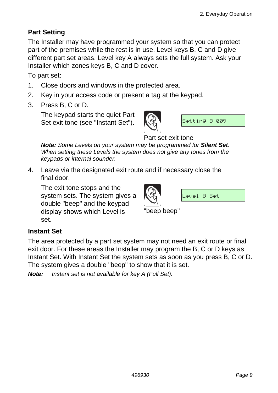#### **Part Setting**

The Installer may have programmed your system so that you can protect part of the premises while the rest is in use. Level keys B, C and D give different part set areas. Level key A always sets the full system. Ask your Installer which zones keys B, C and D cover.

To part set:

- 1. Close doors and windows in the protected area.
- 2. Key in your access code or present a tag at the keypad.
- 3. Press B, C or D.

 The keypad starts the quiet Part Set exit tone (see "Instant Set").



Setting B 009

Part set exit tone

 *Note: Some Levels on your system may be programmed for Silent Set. When setting these Levels the system does not give any tones from the keypads or internal sounder.* 

4. Leave via the designated exit route and if necessary close the final door.

 The exit tone stops and the system sets. The system gives a double "beep" and the keypad display shows which Level is set.



Level B Set

"beep beep"

#### **Instant Set**

The area protected by a part set system may not need an exit route or final exit door. For these areas the Installer may program the B, C or D keys as Instant Set. With Instant Set the system sets as soon as you press B, C or D. The system gives a double "beep" to show that it is set.

*Note: Instant set is not available for key A (Full Set).*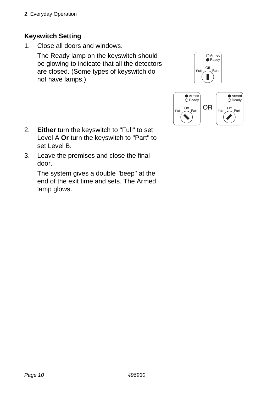2. Everyday Operation

#### **Keyswitch Setting**

1. Close all doors and windows.

 The Ready lamp on the keyswitch should be glowing to indicate that all the detectors are closed. (Some types of keyswitch do not have lamps.)



- 2. **Either** turn the keyswitch to "Full" to set Level A **Or** turn the keyswitch to "Part" to set Level B.
- 3. Leave the premises and close the final door.

 The system gives a double "beep" at the end of the exit time and sets. The Armed lamp glows.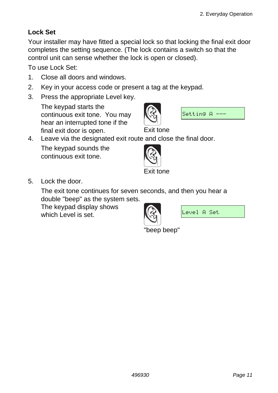#### **Lock Set**

Your installer may have fitted a special lock so that locking the final exit door completes the setting sequence. (The lock contains a switch so that the control unit can sense whether the lock is open or closed).

To use Lock Set:

- 1. Close all doors and windows.
- 2. Key in your access code or present a tag at the keypad.
- 3. Press the appropriate Level key.

 The keypad starts the continuous exit tone. You may hear an interrupted tone if the final exit door is open. Exit tone



4. Leave via the designated exit route and close the final door.

 The keypad sounds the continuous exit tone.



5. Lock the door.

 The exit tone continues for seven seconds, and then you hear a double "beep" as the system sets.

 The keypad display shows which Level is set.



Level A Set

"beep beep"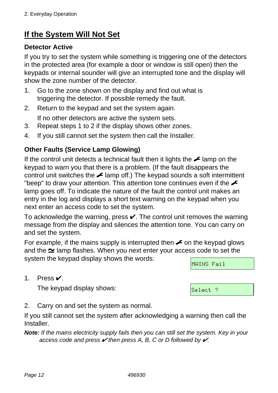# **If the System Will Not Set**

#### **Detector Active**

If you try to set the system while something is triggering one of the detectors in the protected area (for example a door or window is still open) then the keypads or internal sounder will give an interrupted tone and the display will show the zone number of the detector.

- 1. Go to the zone shown on the display and find out what is triggering the detector. If possible remedy the fault.
- 2. Return to the keypad and set the system again.

If no other detectors are active the system sets.

- 3. Repeat steps 1 to 2 if the display shows other zones.
- 4. If you still cannot set the system then call the Installer.

#### **Other Faults (Service Lamp Glowing)**

If the control unit detects a technical fault then it lights the  $\sim$  lamp on the keypad to warn you that there is a problem. (If the fault disappears the control unit switches the  $\angle$  lamp off.) The keypad sounds a soft intermittent "beep" to draw your attention. This attention tone continues even if the  $\triangle$ lamp goes off. To indicate the nature of the fault the control unit makes an entry in the log and displays a short text warning on the keypad when you next enter an access code to set the system.

To acknowledge the warning, press  $\vee$ . The control unit removes the warning message from the display and silences the attention tone. You can carry on and set the system.

For example, if the mains supply is interrupted then  $\sim$  on the keypad glows and the  $\simeq$  lamp flashes. When you next enter your access code to set the system the keypad display shows the words:

MAINS Fail

Select ?

1. Press Y.

The keypad display shows:

2. Carry on and set the system as normal.

If you still cannot set the system after acknowledging a warning then call the **Installer** 

*Note: If the mains electricity supply fails then you can still set the system. Key in your access code and press* Y *then press A, B, C or D followed by* Y*.*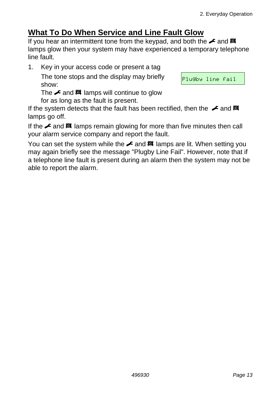# **What To Do When Service and Line Fault Glow**

If you hear an intermittent tone from the keypad, and both the  $\neq$  and  $\boxtimes$ lamps glow then your system may have experienced a temporary telephone line fault.

1. Key in your access code or present a tag

 The tone stops and the display may briefly show:

The  $\triangle$  and  $\boxtimes$  lamps will continue to glow

for as long as the fault is present.

If the system detects that the fault has been rectified, then the  $\sim$  and  $\mathbb{R}$ lamps go off.

If the  $\triangle$  and  $\boxtimes$  lamps remain glowing for more than five minutes then call your alarm service company and report the fault.

You can set the system while the  $\angle$  and  $\boxtimes$  lamps are lit. When setting you may again briefly see the message "Plugby Line Fail". However, note that if a telephone line fault is present during an alarm then the system may not be able to report the alarm.

Plugby line fail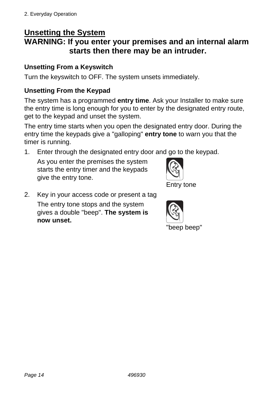# **Unsetting the System**

# **WARNING: If you enter your premises and an internal alarm starts then there may be an intruder.**

#### **Unsetting From a Keyswitch**

Turn the keyswitch to OFF. The system unsets immediately.

#### **Unsetting From the Keypad**

The system has a programmed **entry time**. Ask your Installer to make sure the entry time is long enough for you to enter by the designated entry route, get to the keypad and unset the system.

The entry time starts when you open the designated entry door. During the entry time the keypads give a "galloping" **entry tone** to warn you that the timer is running.

1. Enter through the designated entry door and go to the keypad.

 As you enter the premises the system starts the entry timer and the keypads give the entry tone.



2. Key in your access code or present a tag The entry tone stops and the system gives a double "beep". **The system is now unset.** 

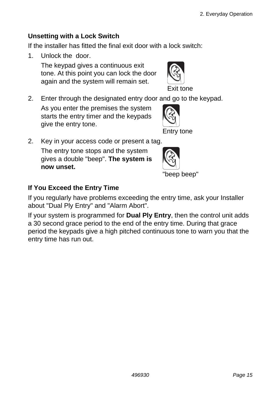#### **Unsetting with a Lock Switch**

If the installer has fitted the final exit door with a lock switch:

1. Unlock the door.

 The keypad gives a continuous exit tone. At this point you can lock the door again and the system will remain set.



2. Enter through the designated entry door and go to the keypad.

 As you enter the premises the system starts the entry timer and the keypads give the entry tone.



2. Key in your access code or present a tag.

 The entry tone stops and the system gives a double "beep". **The system is now unset.** 



#### **If You Exceed the Entry Time**

If you regularly have problems exceeding the entry time, ask your Installer about "Dual Ply Entry" and "Alarm Abort".

If your system is programmed for **Dual Ply Entry**, then the control unit adds a 30 second grace period to the end of the entry time. During that grace period the keypads give a high pitched continuous tone to warn you that the entry time has run out.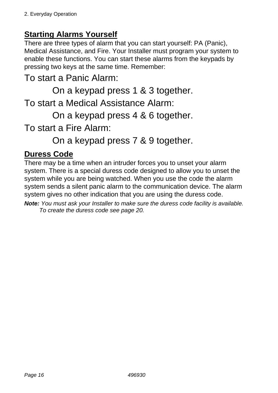# **Starting Alarms Yourself**

There are three types of alarm that you can start yourself: PA (Panic), Medical Assistance, and Fire. Your Installer must program your system to enable these functions. You can start these alarms from the keypads by pressing two keys at the same time. Remember:

# To start a Panic Alarm:

On a keypad press 1 & 3 together.

To start a Medical Assistance Alarm:

On a keypad press 4 & 6 together.

To start a Fire Alarm:

On a keypad press 7 & 9 together.

## **Duress Code**

There may be a time when an intruder forces you to unset your alarm system. There is a special duress code designed to allow you to unset the system while you are being watched. When you use the code the alarm system sends a silent panic alarm to the communication device. The alarm system gives no other indication that you are using the duress code.

*Note: You must ask your Installer to make sure the duress code facility is available. To create the duress code see page 20.*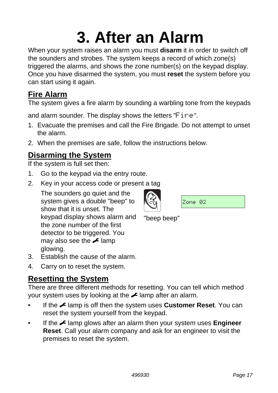# **3. After an Alarm**

When your system raises an alarm you must **disarm** it in order to switch off the sounders and strobes. The system keeps a record of which zone(s) triggered the alarms, and shows the zone number(s) on the keypad display. Once you have disarmed the system, you must **reset** the system before you can start using it again.

# **Fire Alarm**

The system gives a fire alarm by sounding a warbling tone from the keypads

and alarm sounder. The display shows the letters "Fire".

- 1. Evacuate the premises and call the Fire Brigade. Do not attempt to unset the alarm.
- 2. When the premises are safe, follow the instructions below.

# **Disarming the System**

If the system is full set then:

- 1. Go to the keypad via the entry route.
- 2. Key in your access code or present a tag

 The sounders go quiet and the system gives a double "beep" to show that it is unset. The keypad display shows alarm and the zone number of the first detector to be triggered. You may also see the  $\blacktriangleright$  lamp glowing.

- 3. Establish the cause of the alarm.
- 4. Carry on to reset the system.

# **Resetting the System**

There are three different methods for resetting. You can tell which method your system uses by looking at the  $\blacktriangleright$  lamp after an alarm.

- If the **F** lamp is off then the system uses **Customer Reset**. You can reset the system yourself from the keypad.
- If the **F** lamp glows after an alarm then your system uses **Engineer Reset**. Call your alarm company and ask for an engineer to visit the premises to reset the system.

Zone 02

"beep beep"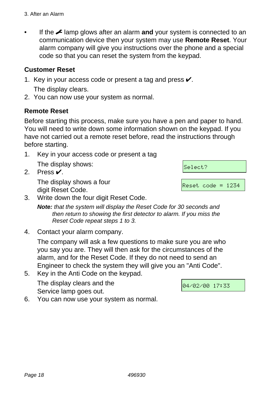If the  $\neq$  lamp glows after an alarm **and** your system is connected to an communication device then your system may use **Remote Reset**. Your alarm company will give you instructions over the phone and a special code so that you can reset the system from the keypad.

#### **Customer Reset**

- 1. Key in your access code or present a tag and press  $\checkmark$ .
	- The display clears.
- 2. You can now use your system as normal.

#### **Remote Reset**

Before starting this process, make sure you have a pen and paper to hand. You will need to write down some information shown on the keypad. If you have not carried out a remote reset before, read the instructions through before starting.

- 1. Key in your access code or present a tag The display shows:
- 2. Press Y.

 The display shows a four digit Reset Code.

3. Write down the four digit Reset Code.

*Note: that the system will display the Reset Code for 30 seconds and then return to showing the first detector to alarm. If you miss the Reset Code repeat steps 1 to 3.* 

4. Contact your alarm company.

 The company will ask a few questions to make sure you are who you say you are. They will then ask for the circumstances of the alarm, and for the Reset Code. If they do not need to send an Engineer to check the system they will give you an "Anti Code".

5. Key in the Anti Code on the keypad. The display clears and the

Service lamp goes out.

6. You can now use your system as normal.

04/02/00 17:33

Select?

Reset code = 1234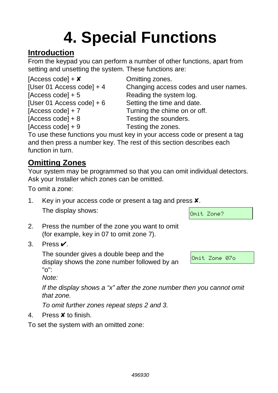# **4. Special Functions**

# **Introduction**

From the keypad you can perform a number of other functions, apart from setting and unsetting the system. These functions are:

| [Access code] + $\times$    | Omitting zones.                                                           |
|-----------------------------|---------------------------------------------------------------------------|
| [User 01 Access code] $+4$  | Changing access codes and user names.                                     |
| [Access code] $+5$          | Reading the system log.                                                   |
| [User 01 Access code] $+ 6$ | Setting the time and date.                                                |
| [Access code] $+ 7$         | Turning the chime on or off.                                              |
| [ $Access code] + 8$        | Testing the sounders.                                                     |
| [Access code] $+9$          | Testing the zones.                                                        |
|                             | To use those functions you must key in your access sade or present a text |

To use these functions you must key in your access code or present a tag and then press a number key. The rest of this section describes each function in turn.

# **Omitting Zones**

Your system may be programmed so that you can omit individual detectors. Ask your Installer which zones can be omitted.

To omit a zone:

1. Key in your access code or present a tag and press X. The display shows:

|  | Omit Zone? |  |
|--|------------|--|

- 2. Press the number of the zone you want to omit (for example, key in 07 to omit zone 7).
- 3. Press Y.

The sounder gives a double beep and the display shows the zone number followed by an "o":

Omit Zone 07o

*Note:* 

*If the display shows a "x" after the zone number then you cannot omit that zone.* 

*To omit further zones repeat steps 2 and 3.* 

4. Press X to finish.

To set the system with an omitted zone: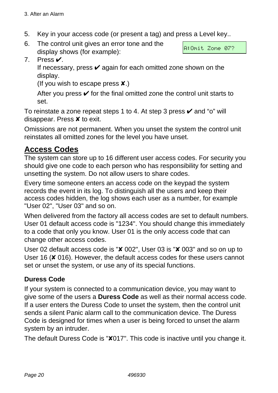- 5. Key in your access code (or present a tag) and press a Level key..
- 6. The control unit gives an error tone and the display shows (for example):

A:Omit Zone 07?

7. Press Y.

If necessary, press  $\mathbf y$  again for each omitted zone shown on the display.

(If you wish to escape press  $\boldsymbol{\mathsf{x}}$ .)

After you press  $\mathbf y$  for the final omitted zone the control unit starts to set.

To reinstate a zone repeat steps 1 to 4. At step 3 press  $\checkmark$  and "o" will disappear. Press X to exit.

Omissions are not permanent. When you unset the system the control unit reinstates all omitted zones for the level you have unset.

# **Access Codes**

The system can store up to 16 different user access codes. For security you should give one code to each person who has responsibility for setting and unsetting the system. Do not allow users to share codes.

Every time someone enters an access code on the keypad the system records the event in its log. To distinguish all the users and keep their access codes hidden, the log shows each user as a number, for example "User 02", "User 03" and so on.

When delivered from the factory all access codes are set to default numbers. User 01 default access code is "1234". You should change this immediately to a code that only you know. User 01 is the only access code that can change other access codes.

User 02 default access code is "X 002", User 03 is "X 003" and so on up to User 16 (**X** 016). However, the default access codes for these users cannot set or unset the system, or use any of its special functions.

#### **Duress Code**

If your system is connected to a communication device, you may want to give some of the users a **Duress Code** as well as their normal access code. If a user enters the Duress Code to unset the system, then the control unit sends a silent Panic alarm call to the communication device. The Duress Code is designed for times when a user is being forced to unset the alarm system by an intruder.

The default Duress Code is "X017". This code is inactive until you change it.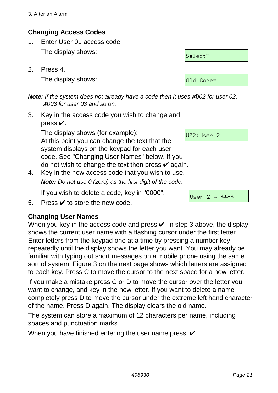#### **Changing Access Codes**

- 1. Enter User 01 access code. The display shows:
- 2. Press 4. The display shows:

*Note:* If the system does not already have a code then it uses **X**002 for user 02. X*003 for user 03 and so on.* 

3. Key in the access code you wish to change and press  $\checkmark$ .

 The display shows (for example): At this point you can change the text that the system displays on the keypad for each user code. See "Changing User Names" below. If you do not wish to change the text then press  $\mathbf{\check{v}}$  again.

4. Key in the new access code that you wish to use.  *Note: Do not use 0 (zero) as the first digit of the code.* 

If you wish to delete a code, key in "0000".

5. Press  $\mathbf{\nabla}$  to store the new code.

### **Changing User Names**

When you key in the access code and press  $\vee$  in step 3 above, the display shows the current user name with a flashing cursor under the first letter. Enter letters from the keypad one at a time by pressing a number key repeatedly until the display shows the letter you want. You may already be familiar with typing out short messages on a mobile phone using the same sort of system. Figure 3 on the next page shows which letters are assigned to each key. Press C to move the cursor to the next space for a new letter.

If you make a mistake press C or D to move the cursor over the letter you want to change, and key in the new letter. If you want to delete a name completely press D to move the cursor under the extreme left hand character of the name. Press D again. The display clears the old name.

The system can store a maximum of 12 characters per name, including spaces and punctuation marks.

When you have finished entering the user name press  $\checkmark$ .

| Select? |           |  |
|---------|-----------|--|
|         |           |  |
|         |           |  |
|         | Old Code= |  |



U02:User 2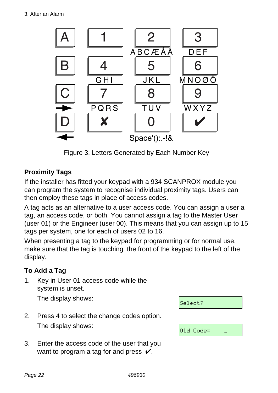

Figure 3. Letters Generated by Each Number Key

### **Proximity Tags**

If the installer has fitted your keypad with a 934 SCANPROX module you can program the system to recognise individual proximity tags. Users can then employ these tags in place of access codes.

A tag acts as an alternative to a user access code. You can assign a user a tag, an access code, or both. You cannot assign a tag to the Master User (user 01) or the Engineer (user 00). This means that you can assign up to 15 tags per system, one for each of users 02 to 16.

When presenting a tag to the keypad for programming or for normal use, make sure that the tag is touching the front of the keypad to the left of the display.

### **To Add a Tag**

1. Key in User 01 access code while the system is unset.

The display shows:

| Select?   |  |
|-----------|--|
|           |  |
| Old Code= |  |

- 2. Press 4 to select the change codes option. The display shows:
- 3. Enter the access code of the user that you want to program a tag for and press  $\mathcal{V}$ .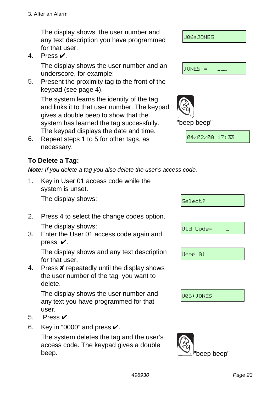The display shows the user number and any text description you have programmed for that user.

4. Press Y.

 The display shows the user number and an underscore, for example:

5. Present the proximity tag to the front of the keypad (see page 4).

 The system learns the identity of the tag and links it to that user number. The keypad gives a double beep to show that the system has learned the tag successfully. "beep beep" The keypad displays the date and time.

6. Repeat steps 1 to 5 for other tags, as necessary.

### **To Delete a Tag:**

*Note: If you delete a tag you also delete the user's access code.* 

1. Key in User 01 access code while the system is unset.

The display shows:

- 2. Press 4 to select the change codes option. The display shows:
- 3. Enter the User 01 access code again and press  $V$ .

 The display shows and any text description for that user.

4. Press **x** repeatedly until the display shows the user number of the tag you want to delete.

 The display shows the user number and any text you have programmed for that user.

- 5. Press Y.
- 6. Key in "0000" and press  $\checkmark$ .

 The system deletes the tag and the user's access code. The keypad gives a double beep. "beep beep"





|  | 01d Code= |  |
|--|-----------|--|
|  |           |  |
|  |           |  |
|  |           |  |

 $S = 100 + 2$ 

User 01

U06:JONES

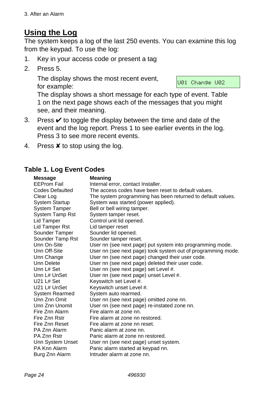# **Using the Log**

The system keeps a log of the last 250 events. You can examine this log from the keypad. To use the log:

- 1. Key in your access code or present a tag
- 2. Press 5.

 The display shows the most recent event, for example:

U01 Change U02

The display shows a short message for each type of event. Table 1 on the next page shows each of the messages that you might see, and their meaning.

- 3. Press  $\checkmark$  to toggle the display between the time and date of the event and the log report. Press 1 to see earlier events in the log. Press 3 to see more recent events.
- 4. Press  $\boldsymbol{\mathsf{X}}$  to stop using the log.

#### **Table 1. Log Event Codes**

| <b>Message</b>         | Meaning                                                      |
|------------------------|--------------------------------------------------------------|
| <b>EEProm Fail</b>     | Internal error, contact Installer.                           |
| Codes Defaulted        | The access codes have been reset to default values.          |
| Clear Log              | The system programming has been returned to default values.  |
| <b>System Startup</b>  | System was started (power applied).                          |
| <b>System Tamper</b>   | Bell or bell wiring tamper.                                  |
| <b>System Tamp Rst</b> | System tamper reset.                                         |
| Lid Tamper             | Control unit lid opened.                                     |
| Lid Tamper Rst         | Lid tamper reset                                             |
| Sounder Tamper         | Sounder lid opened.                                          |
| Sounder Tamp Rst       | Sounder tamper reset.                                        |
| Unn On-Site            | User nn (see next page) put system into programming mode.    |
| Unn Off-Site           | User nn (see next page) took system out of programming mode. |
| Unn Change             | User nn (see next page) changed their user code.             |
| Unn Delete             | User nn (see next page) deleted their user code.             |
| Unn L# Set             | User nn (see next page) set Level #.                         |
| Unn L# UnSet           | User nn (see next page) unset Level #.                       |
| $U21L#$ Set            | Keyswitch set Level #.                                       |
| U21 L# UnSet           | Keyswitch unset Level #.                                     |
| <b>System Rearmed</b>  | System auto rearmed.                                         |
| Unn Znn Omit           | User nn (see next page) omitted zone nn.                     |
| Unn Znn Unomit         | User nn (see next page) re-instated zone nn.                 |
| Fire Znn Alarm         | Fire alarm at zone nn.                                       |
| Fire Znn Rstr          | Fire alarm at zone nn restored.                              |
| Fire Znn Reset         | Fire alarm at zone nn reset.                                 |
| PA Znn Alarm           | Panic alarm at zone nn.                                      |
| PA Znn Rstr            | Panic alarm at zone nn restored.                             |
| Unn System Unset       | User nn (see next page) unset system.                        |
| PA Knn Alarm           | Panic alarm started at keypad nn.                            |
| Burg Znn Alarm         | Intruder alarm at zone nn.                                   |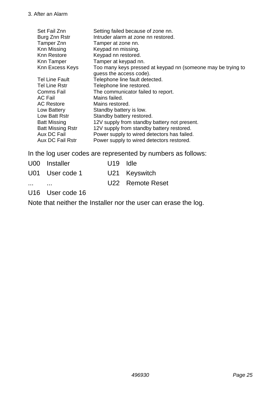| Set Fail Znn                                                                                                                                                                                               | Setting failed because of zone nn.                                                                                                                                                                                                                                                                                                                                                                               |
|------------------------------------------------------------------------------------------------------------------------------------------------------------------------------------------------------------|------------------------------------------------------------------------------------------------------------------------------------------------------------------------------------------------------------------------------------------------------------------------------------------------------------------------------------------------------------------------------------------------------------------|
| Burg Znn Rstr                                                                                                                                                                                              | Intruder alarm at zone nn restored.                                                                                                                                                                                                                                                                                                                                                                              |
| Tamper Znn                                                                                                                                                                                                 | Tamper at zone nn.                                                                                                                                                                                                                                                                                                                                                                                               |
| Knn Missing                                                                                                                                                                                                | Keypad nn missing.                                                                                                                                                                                                                                                                                                                                                                                               |
| Knn Restore                                                                                                                                                                                                | Keypad nn restored.                                                                                                                                                                                                                                                                                                                                                                                              |
| Knn Tamper                                                                                                                                                                                                 | Tamper at keypad nn.                                                                                                                                                                                                                                                                                                                                                                                             |
| Knn Excess Keys                                                                                                                                                                                            | Too many keys pressed at keypad nn (someone may be trying to                                                                                                                                                                                                                                                                                                                                                     |
| <b>Tel Line Fault</b><br>Tel Line Rstr<br>Comms Fail<br>AC Fail<br><b>AC Restore</b><br>Low Battery<br>Low Batt Rstr<br><b>Batt Missing</b><br><b>Batt Missing Rstr</b><br>Aux DC Fail<br>Aux DC Fail Rstr | guess the access code).<br>Telephone line fault detected.<br>Telephone line restored.<br>The communicator failed to report.<br>Mains failed.<br>Mains restored.<br>Standby battery is low.<br>Standby battery restored.<br>12V supply from standby battery not present.<br>12V supply from standby battery restored.<br>Power supply to wired detectors has failed.<br>Power supply to wired detectors restored. |

In the log user codes are represented by numbers as follows:

|          | U00 Installer   | U <sub>19</sub> Idle |                  |
|----------|-----------------|----------------------|------------------|
|          | U01 User code 1 |                      | U21 Keyswitch    |
| $\cdots$ |                 |                      | U22 Remote Reset |

U16 User code 16

Note that neither the Installer nor the user can erase the log.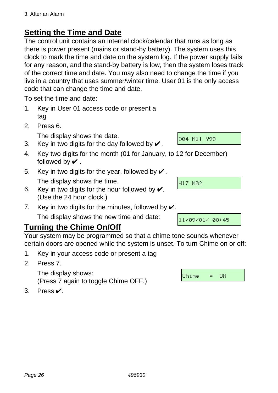# **Setting the Time and Date**

The control unit contains an internal clock/calendar that runs as long as there is power present (mains or stand-by battery). The system uses this clock to mark the time and date on the system log. If the power supply fails for any reason, and the stand-by battery is low, then the system loses track of the correct time and date. You may also need to change the time if you live in a country that uses summer/winter time. User 01 is the only access code that can change the time and date.

To set the time and date:

- 1. Key in User 01 access code or present a tag
- 2. Press 6.

The display shows the date.

- 3. Key in two digits for the day followed by  $\vee$ .
- 4. Key two digits for the month (01 for January, to 12 for December) followed by  $\boldsymbol{\checkmark}$ .
- 5. Key in two digits for the year, followed by  $\vee$ . The display shows the time.
- 6. Key in two digits for the hour followed by  $\checkmark$ . (Use the 24 hour clock.)
- 7. Key in two digits for the minutes, followed by  $\mathcal{V}$ .

The display shows the new time and date:

# **Turning the Chime On/Off**

Your system may be programmed so that a chime tone sounds whenever certain doors are opened while the system is unset. To turn Chime on or off:

- 1. Key in your access code or present a tag
- 2. Press 7.

 The display shows: (Press 7 again to toggle Chime OFF.)

3. Press Y.

Chime = ON

D04 M11 Y99

H17 M02

11/09/01/ 08:45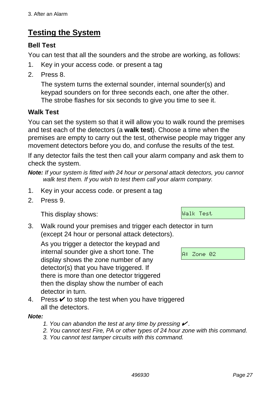# **Testing the System**

#### **Bell Test**

You can test that all the sounders and the strobe are working, as follows:

- 1. Key in your access code. or present a tag
- 2. Press 8.

 The system turns the external sounder, internal sounder(s) and keypad sounders on for three seconds each, one after the other. The strobe flashes for six seconds to give you time to see it.

#### **Walk Test**

You can set the system so that it will allow you to walk round the premises and test each of the detectors (a **walk test**). Choose a time when the premises are empty to carry out the test, otherwise people may trigger any movement detectors before you do, and confuse the results of the test.

If any detector fails the test then call your alarm company and ask them to check the system.

*Note: If your system is fitted with 24 hour or personal attack detectors, you cannot walk test them. If you wish to test them call your alarm company.* 

- 1. Key in your access code. or present a tag
- 2. Press 9.

This display shows:

3. Walk round your premises and trigger each detector in turn (except 24 hour or personal attack detectors).

 As you trigger a detector the keypad and internal sounder give a short tone. The display shows the zone number of any detector(s) that you have triggered. If there is more than one detector triggered then the display show the number of each detector in turn.

A: Zone 02

Walk Test

4. Press  $\checkmark$  to stop the test when you have triggered all the detectors.

#### *Note:*

- *1. You can abandon the test at any time by pressing* Y *.*
- *2. You cannot test Fire, PA or other types of 24 hour zone with this command.*
- *3. You cannot test tamper circuits with this command.*